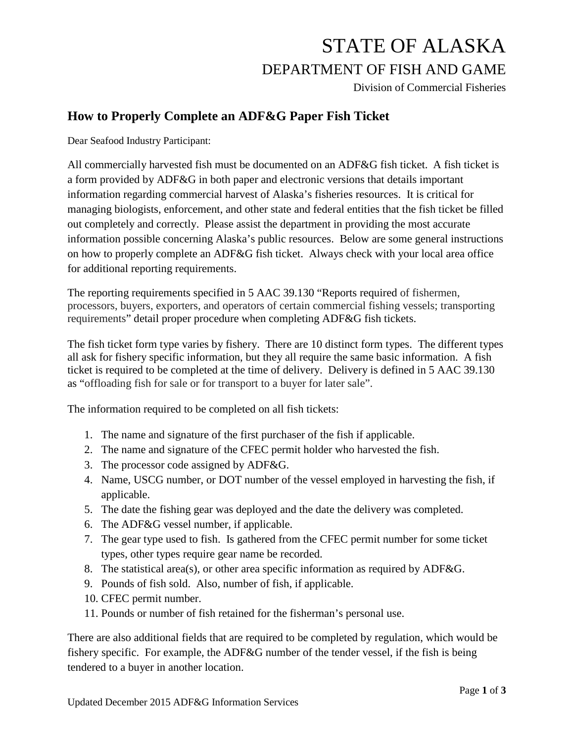# STATE OF ALASKA DEPARTMENT OF FISH AND GAME

Division of Commercial Fisheries

### **How to Properly Complete an ADF&G Paper Fish Ticket**

Dear Seafood Industry Participant:

All commercially harvested fish must be documented on an ADF&G fish ticket. A fish ticket is a form provided by ADF&G in both paper and electronic versions that details important information regarding commercial harvest of Alaska's fisheries resources. It is critical for managing biologists, enforcement, and other state and federal entities that the fish ticket be filled out completely and correctly. Please assist the department in providing the most accurate information possible concerning Alaska's public resources. Below are some general instructions on how to properly complete an ADF&G fish ticket. Always check with your local area office for additional reporting requirements.

The reporting requirements specified in 5 AAC 39.130 "Reports required of fishermen, processors, buyers, exporters, and operators of certain commercial fishing vessels; transporting requirements" detail proper procedure when completing ADF&G fish tickets.

The fish ticket form type varies by fishery. There are 10 distinct form types. The different types all ask for fishery specific information, but they all require the same basic information. A fish ticket is required to be completed at the time of delivery. Delivery is defined in 5 AAC 39.130 as "offloading fish for sale or for transport to a buyer for later sale".

The information required to be completed on all fish tickets:

- 1. The name and signature of the first purchaser of the fish if applicable.
- 2. The name and signature of the CFEC permit holder who harvested the fish.
- 3. The processor code assigned by ADF&G.
- 4. Name, USCG number, or DOT number of the vessel employed in harvesting the fish, if applicable.
- 5. The date the fishing gear was deployed and the date the delivery was completed.
- 6. The ADF&G vessel number, if applicable.
- 7. The gear type used to fish. Is gathered from the CFEC permit number for some ticket types, other types require gear name be recorded.
- 8. The statistical area(s), or other area specific information as required by ADF&G.
- 9. Pounds of fish sold. Also, number of fish, if applicable.
- 10. CFEC permit number.
- 11. Pounds or number of fish retained for the fisherman's personal use.

There are also additional fields that are required to be completed by regulation, which would be fishery specific. For example, the ADF&G number of the tender vessel, if the fish is being tendered to a buyer in another location.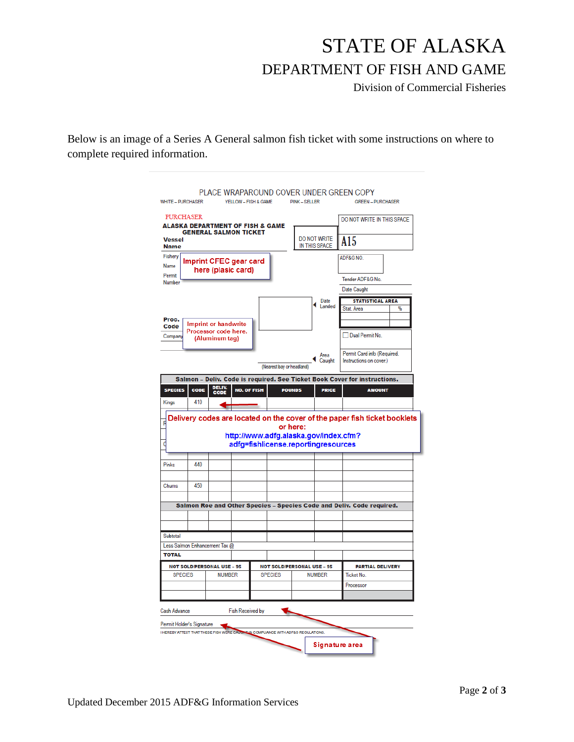# STATE OF ALASKA DEPARTMENT OF FISH AND GAME

Division of Commercial Fisheries

Below is an image of a Series A General salmon fish ticket with some instructions on where to complete required information.

| <b>WHITE - PURCHASER</b>                              | YELLOW - FISH & GAME                                                                        |                                                                              | <b>PINK-SELLER</b>                   |                | PLACE WRAPAROUND COVER UNDER GREEN COPY<br><b>GREEN - PURCHASER</b> |   |
|-------------------------------------------------------|---------------------------------------------------------------------------------------------|------------------------------------------------------------------------------|--------------------------------------|----------------|---------------------------------------------------------------------|---|
| <b>PURCHASER</b>                                      | <b>ALASKA DEPARTMENT OF FISH &amp; GAME</b>                                                 |                                                                              |                                      |                | DO NOT WRITE IN THIS SPACE                                          |   |
| <b>GENERAL SALMON TICKET</b><br>Vessel<br><b>Name</b> |                                                                                             |                                                                              | <b>DO NOT WRITE</b><br>IN THIS SPACE |                | A15                                                                 |   |
| Fishery<br>Name                                       | <b>Imprint CFEC gear card</b><br>here (plasic card)                                         |                                                                              |                                      |                | ADF&G NO.                                                           |   |
| Permit<br>Number                                      |                                                                                             |                                                                              |                                      |                | Tender ADF&G No.                                                    |   |
|                                                       |                                                                                             |                                                                              |                                      |                | Date Caught                                                         |   |
|                                                       |                                                                                             |                                                                              |                                      | Date           | <b>STATISTICAL AREA</b>                                             |   |
|                                                       |                                                                                             |                                                                              |                                      | Landed         | Stat. Area                                                          | % |
| Proc.                                                 | <b>Imprint or handwrite</b>                                                                 |                                                                              |                                      |                |                                                                     |   |
| Code<br>Company                                       | Processor code here.<br>(Aluminum tag)                                                      |                                                                              |                                      |                | Dual Permit No.                                                     |   |
|                                                       |                                                                                             | (Nearest bay or headland)                                                    |                                      | Area<br>Caught | Permit Card info (Required.<br>Instructions on cover.)              |   |
| CODE<br><b>SPECIES</b>                                | Salmon - Deliv. Code is required. See Ticket Book Cover for instructions.<br>DELIV.<br>CODE | <b>NO. OF FISH</b>                                                           | <b>POUNDS</b>                        | <b>PRICE</b>   | <b>AMOUNT</b>                                                       |   |
| 410                                                   | Delivery codes are located on the cover of the paper fish ticket booklets                   |                                                                              |                                      |                |                                                                     |   |
|                                                       |                                                                                             | http://www.adfg.alaska.gov/index.cfm?<br>adfg=fishlicense.reportingresources | or here:                             |                |                                                                     |   |
| Kings<br>440<br>Pinks                                 |                                                                                             |                                                                              |                                      |                |                                                                     |   |
| 450<br>Chums                                          |                                                                                             |                                                                              |                                      |                |                                                                     |   |
|                                                       |                                                                                             |                                                                              |                                      |                |                                                                     |   |
|                                                       | Salmon Roe and Other Species - Species Code and Deliv. Code required.                       |                                                                              |                                      |                |                                                                     |   |
| Subtotal                                              |                                                                                             |                                                                              |                                      |                |                                                                     |   |
| Less Salmon Enhancement Tax @                         |                                                                                             |                                                                              |                                      |                |                                                                     |   |
| <b>TOTAL</b>                                          |                                                                                             |                                                                              |                                      |                |                                                                     |   |
| <b>NOT SOLD/PERSONAL USE - 95</b>                     |                                                                                             |                                                                              | <b>NOT SOLD/PERSONAL USE - 95</b>    |                | <b>PARTIAL DELIVERY</b>                                             |   |
| <b>SPECIES</b>                                        | <b>NUMBER</b>                                                                               | <b>SPECIES</b>                                                               | <b>NUMBER</b>                        |                | Ticket No.                                                          |   |
|                                                       |                                                                                             |                                                                              |                                      |                | Processor                                                           |   |
| Cash Advance                                          | <b>Fish Received by</b>                                                                     |                                                                              |                                      |                |                                                                     |   |
| Permit Holder's Signature                             | I HEREBY ATTEST THAT THESE FISH WERE CAUCHE IN COMPLIANCE WITH ADF&G REGULATIONS.           |                                                                              |                                      |                |                                                                     |   |